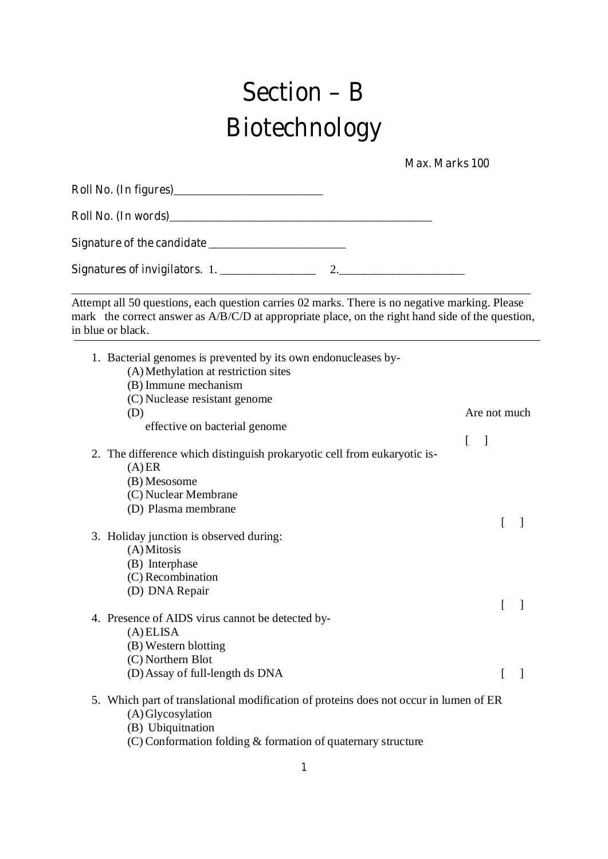# **Section – B Biotechnology**

 **Max. Marks 100** 

| Roll No. (In words)            |  |
|--------------------------------|--|
|                                |  |
| Signatures of invigilators. 1. |  |

\_\_\_\_\_\_\_\_\_\_\_\_\_\_\_\_\_\_\_\_\_\_\_\_\_\_\_\_\_\_\_\_\_\_\_\_\_\_\_\_\_\_\_\_\_\_\_\_\_\_\_\_\_\_\_\_\_\_\_\_\_\_\_\_\_\_\_\_\_\_\_\_\_\_\_\_\_ Attempt all 50 questions, each question carries 02 marks. There is no negative marking. Please mark the correct answer as A/B/C/D at appropriate place, on the right hand side of the question, in blue or black.

| 1. Bacterial genomes is prevented by its own endonucleases by-<br>(A) Methylation at restriction sites<br>(B) Immune mechanism<br>(C) Nuclease resistant genome<br>(D)<br>effective on bacterial genome | Are not much        |  |
|---------------------------------------------------------------------------------------------------------------------------------------------------------------------------------------------------------|---------------------|--|
| 2. The difference which distinguish prokaryotic cell from eukaryotic is-<br>(A)ER<br>(B) Mesosome<br>(C) Nuclear Membrane<br>(D) Plasma membrane                                                        | L<br>$\blacksquare$ |  |
| 3. Holiday junction is observed during:<br>$(A)$ Mitosis<br>(B) Interphase<br>(C) Recombination<br>(D) DNA Repair                                                                                       |                     |  |
| 4. Presence of AIDS virus cannot be detected by-<br>(A) ELISA<br>(B) Western blotting<br>(C) Northern Blot<br>(D) Assay of full-length ds DNA                                                           |                     |  |
| 5. Which part of translational modification of proteins does not occur in lumen of ER<br>(A) Glycosylation<br>(B) Ubiquitnation<br>(C) Conformation folding & formation of quaternary structure         |                     |  |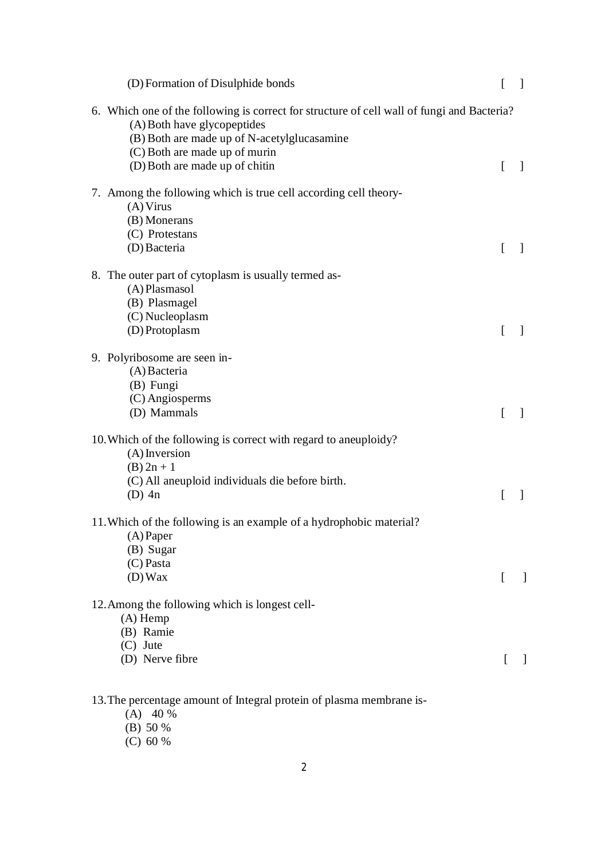| (D) Formation of Disulphide bonds                                                                                                                                                                                                           | [            | $\mathbf{1}$ |
|---------------------------------------------------------------------------------------------------------------------------------------------------------------------------------------------------------------------------------------------|--------------|--------------|
| 6. Which one of the following is correct for structure of cell wall of fungi and Bacteria?<br>(A) Both have glycopeptides<br>(B) Both are made up of N-acetylglucasamine<br>(C) Both are made up of murin<br>(D) Both are made up of chitin | L            | -1           |
| 7. Among the following which is true cell according cell theory-<br>(A) Virus<br>(B) Monerans<br>(C) Protestans<br>(D) Bacteria                                                                                                             | L            | $\mathbf{I}$ |
| 8. The outer part of cytoplasm is usually termed as-<br>(A) Plasmasol<br>(B) Plasmagel<br>(C) Nucleoplasm<br>(D) Protoplasm                                                                                                                 | ſ            |              |
| 9. Polyribosome are seen in-<br>(A) Bacteria<br>(B) Fungi<br>(C) Angiosperms<br>(D) Mammals                                                                                                                                                 | L            | $\mathbf{I}$ |
| 10. Which of the following is correct with regard to aneuploidy?<br>$(A)$ Inversion<br>$(B) 2n + 1$<br>(C) All aneuploid individuals die before birth.<br>$(D)$ 4n                                                                          | L            | $\mathbf{1}$ |
| 11. Which of the following is an example of a hydrophobic material?<br>(A) Paper<br>(B) Sugar<br>$(C)$ Pasta<br>$(D)$ Wax                                                                                                                   | $\mathsf{L}$ | $\perp$      |
| 12. Among the following which is longest cell-<br>$(A)$ Hemp<br>(B) Ramie<br>$(C)$ Jute<br>(D) Nerve fibre                                                                                                                                  |              |              |
|                                                                                                                                                                                                                                             |              |              |

#### 13.The percentage amount of Integral protein of plasma membrane is-

- (A) 40 %
- (B) 50 %
- (C) 60 %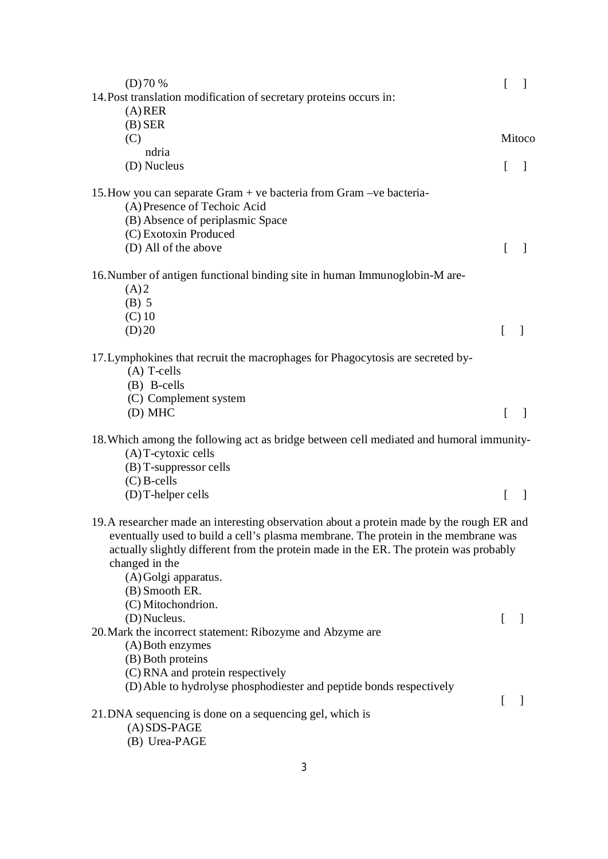| (D)70%                                                                                                                                                                                                                                                                                                                                                     |          | $\mathcal{L}$  |
|------------------------------------------------------------------------------------------------------------------------------------------------------------------------------------------------------------------------------------------------------------------------------------------------------------------------------------------------------------|----------|----------------|
| 14. Post translation modification of secretary proteins occurs in:<br>$(A)$ RER                                                                                                                                                                                                                                                                            |          |                |
| $(B)$ SER                                                                                                                                                                                                                                                                                                                                                  |          |                |
| (C)                                                                                                                                                                                                                                                                                                                                                        |          | Mitoco         |
| ndria                                                                                                                                                                                                                                                                                                                                                      |          |                |
| (D) Nucleus                                                                                                                                                                                                                                                                                                                                                | L        |                |
| 15. How you can separate Gram + ve bacteria from Gram - ve bacteria-<br>(A) Presence of Techoic Acid<br>(B) Absence of periplasmic Space<br>(C) Exotoxin Produced                                                                                                                                                                                          |          |                |
| (D) All of the above                                                                                                                                                                                                                                                                                                                                       |          |                |
| 16. Number of antigen functional binding site in human Immunoglobin-M are-<br>(A)2<br>$(B)$ 5<br>$(C)$ 10<br>(D)20                                                                                                                                                                                                                                         | $\Gamma$ |                |
| 17. Lymphokines that recruit the macrophages for Phagocytosis are secreted by-<br>$(A)$ T-cells<br>(B) B-cells<br>(C) Complement system                                                                                                                                                                                                                    |          |                |
| (D) MHC                                                                                                                                                                                                                                                                                                                                                    | $\lceil$ | $\overline{1}$ |
| 18. Which among the following act as bridge between cell mediated and humoral immunity-<br>$(A)$ T-cytoxic cells<br>$(B)$ T-suppressor cells<br>$(C)$ B-cells                                                                                                                                                                                              |          |                |
| $(D)$ T-helper cells                                                                                                                                                                                                                                                                                                                                       | L        | -1             |
| 19. A researcher made an interesting observation about a protein made by the rough ER and<br>eventually used to build a cell's plasma membrane. The protein in the membrane was<br>actually slightly different from the protein made in the ER. The protein was probably<br>changed in the<br>(A) Golgi apparatus.<br>(B) Smooth ER.<br>(C) Mitochondrion. |          |                |
| (D) Nucleus.<br>20. Mark the incorrect statement: Ribozyme and Abzyme are<br>(A) Both enzymes<br>(B) Both proteins<br>(C) RNA and protein respectively<br>(D) Able to hydrolyse phosphodiester and peptide bonds respectively                                                                                                                              | ſ        |                |
| 21. DNA sequencing is done on a sequencing gel, which is<br>$(A)$ SDS-PAGE<br>(B) Urea-PAGE                                                                                                                                                                                                                                                                | ſ        | -1             |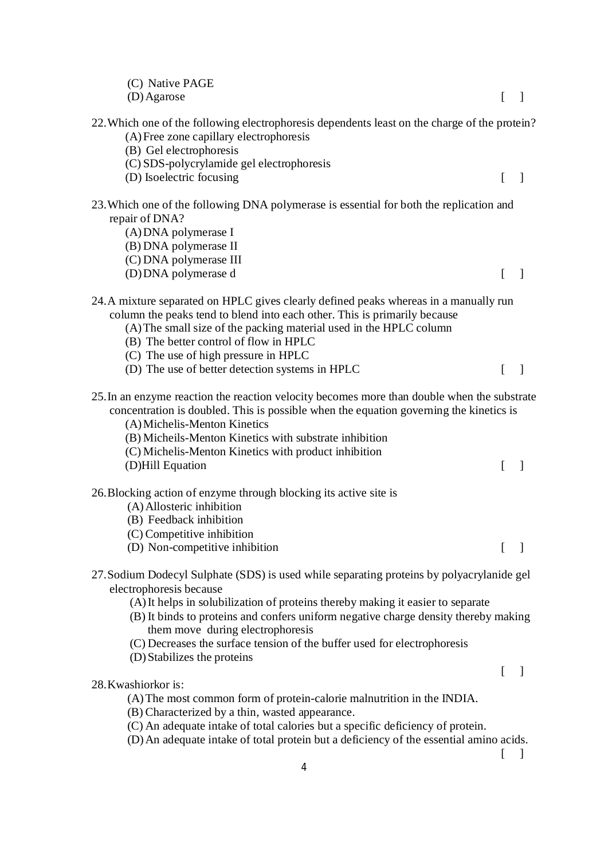| (C) Native PAGE<br>(D) Agarose                                                                                                                                                                                                           | 1                             |
|------------------------------------------------------------------------------------------------------------------------------------------------------------------------------------------------------------------------------------------|-------------------------------|
| 22. Which one of the following electrophoresis dependents least on the charge of the protein?                                                                                                                                            |                               |
| (A) Free zone capillary electrophoresis                                                                                                                                                                                                  |                               |
| (B) Gel electrophoresis                                                                                                                                                                                                                  |                               |
| (C) SDS-polycrylamide gel electrophoresis                                                                                                                                                                                                |                               |
| (D) Isoelectric focusing                                                                                                                                                                                                                 | $\Box$<br>$\Gamma$            |
|                                                                                                                                                                                                                                          |                               |
| 23. Which one of the following DNA polymerase is essential for both the replication and                                                                                                                                                  |                               |
| repair of DNA?                                                                                                                                                                                                                           |                               |
| (A) DNA polymerase I                                                                                                                                                                                                                     |                               |
| (B) DNA polymerase II                                                                                                                                                                                                                    |                               |
| (C) DNA polymerase III                                                                                                                                                                                                                   |                               |
| (D) DNA polymerase d                                                                                                                                                                                                                     | $\Box$<br>$\lceil$            |
| 24. A mixture separated on HPLC gives clearly defined peaks whereas in a manually run                                                                                                                                                    |                               |
| column the peaks tend to blend into each other. This is primarily because                                                                                                                                                                |                               |
| (A) The small size of the packing material used in the HPLC column                                                                                                                                                                       |                               |
| (B) The better control of flow in HPLC                                                                                                                                                                                                   |                               |
| (C) The use of high pressure in HPLC                                                                                                                                                                                                     |                               |
| (D) The use of better detection systems in HPLC                                                                                                                                                                                          | $\Box$<br>L                   |
| concentration is doubled. This is possible when the equation governing the kinetics is<br>(A) Michelis-Menton Kinetics<br>(B) Micheils-Menton Kinetics with substrate inhibition<br>(C) Michelis-Menton Kinetics with product inhibition |                               |
| (D)Hill Equation                                                                                                                                                                                                                         | L<br>1                        |
| 26. Blocking action of enzyme through blocking its active site is                                                                                                                                                                        |                               |
| (A) Allosteric inhibition                                                                                                                                                                                                                |                               |
| (B) Feedback inhibition                                                                                                                                                                                                                  |                               |
| (C) Competitive inhibition                                                                                                                                                                                                               |                               |
| (D) Non-competitive inhibition                                                                                                                                                                                                           |                               |
| 27. Sodium Dodecyl Sulphate (SDS) is used while separating proteins by polyacrylanide gel                                                                                                                                                |                               |
| electrophoresis because                                                                                                                                                                                                                  |                               |
| (A) It helps in solubilization of proteins thereby making it easier to separate                                                                                                                                                          |                               |
| (B) It binds to proteins and confers uniform negative charge density thereby making                                                                                                                                                      |                               |
| them move during electrophoresis                                                                                                                                                                                                         |                               |
| (C) Decreases the surface tension of the buffer used for electrophoresis                                                                                                                                                                 |                               |
| (D) Stabilizes the proteins                                                                                                                                                                                                              |                               |
|                                                                                                                                                                                                                                          | $\overline{\phantom{a}}$<br>L |
| 28. Kwashiorkor is:                                                                                                                                                                                                                      |                               |
| (A) The most common form of protein-calorie malnutrition in the INDIA.                                                                                                                                                                   |                               |
| (B) Characterized by a thin, wasted appearance.                                                                                                                                                                                          |                               |
| (C) An adequate intake of total calories but a specific deficiency of protein.                                                                                                                                                           |                               |
| (D) An adequate intake of total protein but a deficiency of the essential amino acids.                                                                                                                                                   |                               |
|                                                                                                                                                                                                                                          |                               |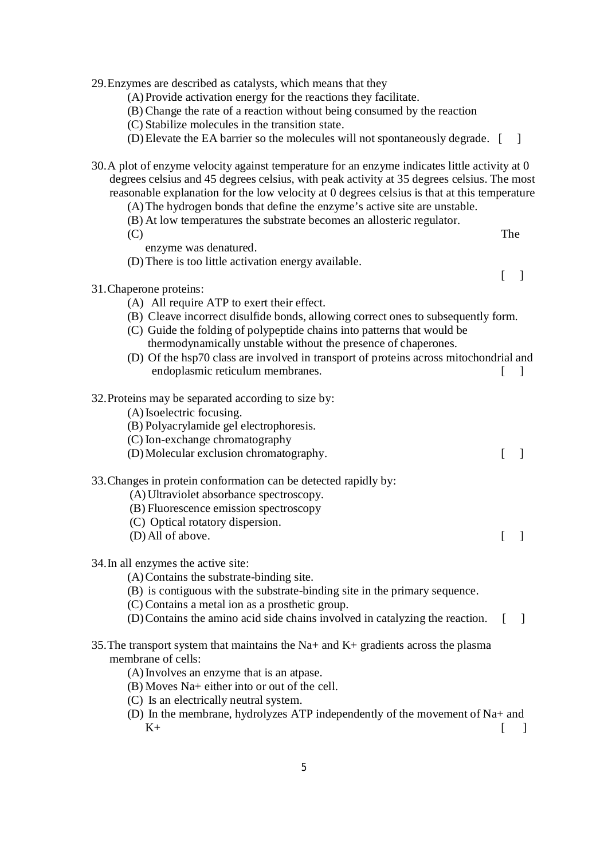29.Enzymes are described as catalysts, which means that they

- (A) Provide activation energy for the reactions they facilitate.
- (B) Change the rate of a reaction without being consumed by the reaction
- (C) Stabilize molecules in the transition state.
- (D)Elevate the EA barrier so the molecules will not spontaneously degrade. [ ]
- 30.A plot of enzyme velocity against temperature for an enzyme indicates little activity at 0 degrees celsius and 45 degrees celsius, with peak activity at 35 degrees celsius. The most reasonable explanation for the low velocity at 0 degrees celsius is that at this temperature
	- (A)The hydrogen bonds that define the enzyme's active site are unstable.
	- (B) At low temperatures the substrate becomes an allosteric regulator.
	- (C) The
		- enzyme was denatured.
	- (D)There is too little activation energy available.

 $\lceil$   $\rceil$ 

- 31.Chaperone proteins:
	- (A) All require ATP to exert their effect.
	- (B) Cleave incorrect disulfide bonds, allowing correct ones to subsequently form.
	- (C) Guide the folding of polypeptide chains into patterns that would be thermodynamically unstable without the presence of chaperones.
	- (D) Of the hsp70 class are involved in transport of proteins across mitochondrial and endoplasmic reticulum membranes.
- 32.Proteins may be separated according to size by:
	- (A)Isoelectric focusing.
	- (B) Polyacrylamide gel electrophoresis.
	- (C) Ion-exchange chromatography
	- (D)Molecular exclusion chromatography. [ ]
- 33.Changes in protein conformation can be detected rapidly by:
	- (A)Ultraviolet absorbance spectroscopy.
	- (B) Fluorescence emission spectroscopy
	- (C) Optical rotatory dispersion.
	- (D)All of above. [ ]
- 34.In all enzymes the active site:
	- (A)Contains the substrate-binding site.
	- (B) is contiguous with the substrate-binding site in the primary sequence.
	- (C) Contains a metal ion as a prosthetic group.
	- (D)Contains the amino acid side chains involved in catalyzing the reaction. [ ]
- 35.The transport system that maintains the Na+ and K+ gradients across the plasma membrane of cells:
	- (A)Involves an enzyme that is an atpase.
	- (B) Moves Na+ either into or out of the cell.
	- (C) Is an electrically neutral system.
	- (D) In the membrane, hydrolyzes ATP independently of the movement of Na+ and  $K+$  [ ]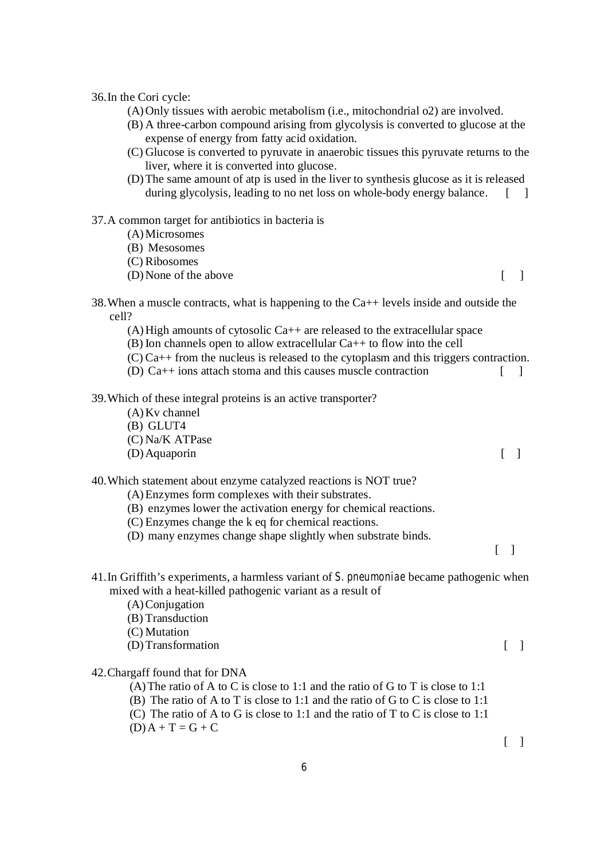36.In the Cori cycle:

- (A)Only tissues with aerobic metabolism (i.e., mitochondrial o2) are involved.
- (B) A three-carbon compound arising from glycolysis is converted to glucose at the expense of energy from fatty acid oxidation.
- (C) Glucose is converted to pyruvate in anaerobic tissues this pyruvate returns to the liver, where it is converted into glucose.
- (D)The same amount of atp is used in the liver to synthesis glucose as it is released during glycolysis, leading to no net loss on whole-body energy balance. [1]

#### 37.A common target for antibiotics in bacteria is

- (A)Microsomes
- (B) Mesosomes
- (C) Ribosomes
- (D)None of the above [ ]
- 38. When a muscle contracts, what is happening to the  $Ca_{++}$  levels inside and outside the cell?
	- (A)High amounts of cytosolic Ca++ are released to the extracellular space
	- (B) Ion channels open to allow extracellular Ca++ to flow into the cell
	- (C) Ca++ from the nucleus is released to the cytoplasm and this triggers contraction.
	- (D) Ca++ ions attach stoma and this causes muscle contraction  $\lceil \quad \rceil$

## 39.Which of these integral proteins is an active transporter?

- (A)Kv channel
- (B) GLUT4
- (C) Na/K ATPase
- (D)Aquaporin [ ]

#### 40.Which statement about enzyme catalyzed reactions is NOT true?

- (A)Enzymes form complexes with their substrates.
- (B) enzymes lower the activation energy for chemical reactions.
- (C) Enzymes change the k eq for chemical reactions.
- (D) many enzymes change shape slightly when substrate binds.
- $\lceil$   $\rceil$

# 41.In Griffith's experiments, a harmless variant of *S. pneumoniae* became pathogenic when mixed with a heat-killed pathogenic variant as a result of

- (A)Conjugation
- (B) Transduction
- (C) Mutation
- (D)Transformation [ ]

## 42.Chargaff found that for DNA

- (A)The ratio of A to C is close to 1:1 and the ratio of G to T is close to 1:1
- (B) The ratio of A to T is close to 1:1 and the ratio of G to C is close to 1:1
- (C) The ratio of A to G is close to 1:1 and the ratio of T to C is close to 1:1
- $(D) A + T = G + C$

 $\lceil \rceil$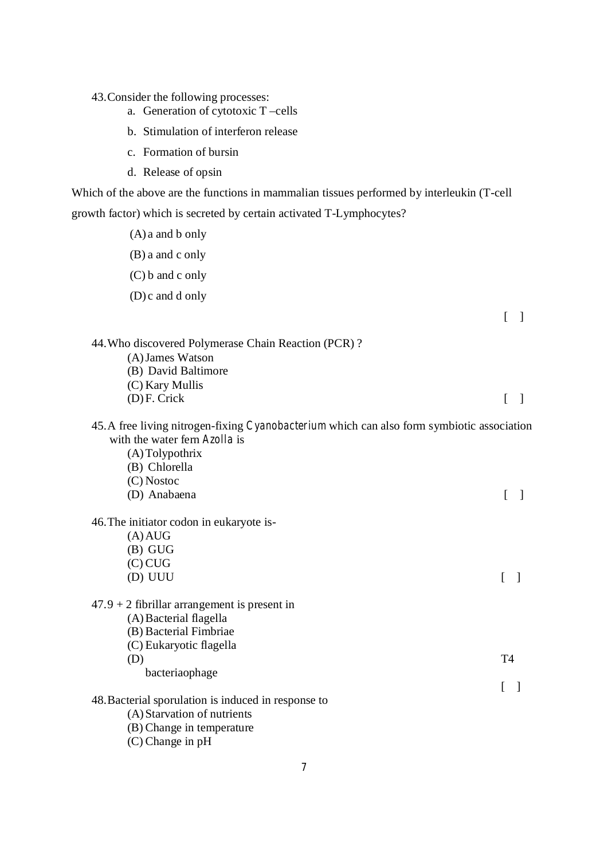43.Consider the following processes:

- a. Generation of cytotoxic T –cells
- b. Stimulation of interferon release
- c. Formation of bursin
- d. Release of opsin

Which of the above are the functions in mammalian tissues performed by interleukin (T-cell growth factor) which is secreted by certain activated T-Lymphocytes?

- (A) a and b only
- (B) a and c only
- (C) b and c only
- (D) c and d only

[ ]

| 44. Who discovered Polymerase Chain Reaction (PCR)?                                               |                |  |
|---------------------------------------------------------------------------------------------------|----------------|--|
| (A) James Watson                                                                                  |                |  |
| (B) David Baltimore                                                                               |                |  |
| (C) Kary Mullis                                                                                   |                |  |
| $(D)$ F. Crick                                                                                    |                |  |
| 45. A free living nitrogen-fixing <i>Cyanobacterium</i> which can also form symbiotic association |                |  |
| with the water fern <i>Azolla</i> is                                                              |                |  |
| (A) Tolypothrix                                                                                   |                |  |
| (B) Chlorella                                                                                     |                |  |
| $(C)$ Nostoc                                                                                      |                |  |
| (D) Anabaena                                                                                      |                |  |
| 46. The initiator codon in eukaryote is-                                                          |                |  |
| $(A)$ AUG                                                                                         |                |  |
| $(B)$ GUG                                                                                         |                |  |
| $(C)$ CUG                                                                                         |                |  |
| (D) UUU                                                                                           |                |  |
| $47.9 + 2$ fibrillar arrangement is present in                                                    |                |  |
| (A) Bacterial flagella                                                                            |                |  |
| (B) Bacterial Fimbriae                                                                            |                |  |
| (C) Eukaryotic flagella                                                                           |                |  |
| (D)                                                                                               | T <sub>4</sub> |  |
| bacteriaophage                                                                                    |                |  |

 $\begin{bmatrix} 1 \end{bmatrix}$ 48.Bacterial sporulation is induced in response to

- (A) Starvation of nutrients
- (B) Change in temperature
- (C) Change in pH